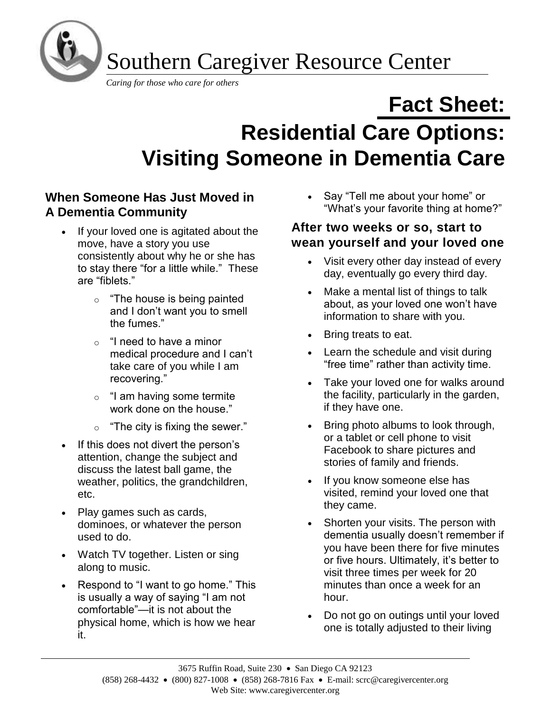

Southern Caregiver Resource Center

*Caring for those who care for others*

# **Fact Sheet: Residential Care Options: Visiting Someone in Dementia Care**

# **When Someone Has Just Moved in A Dementia Community**

- If your loved one is agitated about the move, have a story you use consistently about why he or she has to stay there "for a little while." These are "fiblets."
	- o "The house is being painted and I don't want you to smell the fumes."
	- $\circ$  "I need to have a minor medical procedure and I can't take care of you while I am recovering."
	- $\circ$  "I am having some termite work done on the house."
	- $\circ$  "The city is fixing the sewer."
- If this does not divert the person's attention, change the subject and discuss the latest ball game, the weather, politics, the grandchildren, etc.
- Play games such as cards, dominoes, or whatever the person used to do.
- Watch TV together. Listen or sing along to music.
- Respond to "I want to go home." This is usually a way of saying "I am not comfortable"—it is not about the physical home, which is how we hear it.

• Say "Tell me about your home" or "What's your favorite thing at home?"

## **After two weeks or so, start to wean yourself and your loved one**

- Visit every other day instead of every day, eventually go every third day.
- Make a mental list of things to talk about, as your loved one won't have information to share with you.
- Bring treats to eat.
- Learn the schedule and visit during "free time" rather than activity time.
- Take your loved one for walks around the facility, particularly in the garden, if they have one.
- Bring photo albums to look through, or a tablet or cell phone to visit Facebook to share pictures and stories of family and friends.
- If you know someone else has visited, remind your loved one that they came.
- Shorten your visits. The person with dementia usually doesn't remember if you have been there for five minutes or five hours. Ultimately, it's better to visit three times per week for 20 minutes than once a week for an hour.
- Do not go on outings until your loved one is totally adjusted to their living